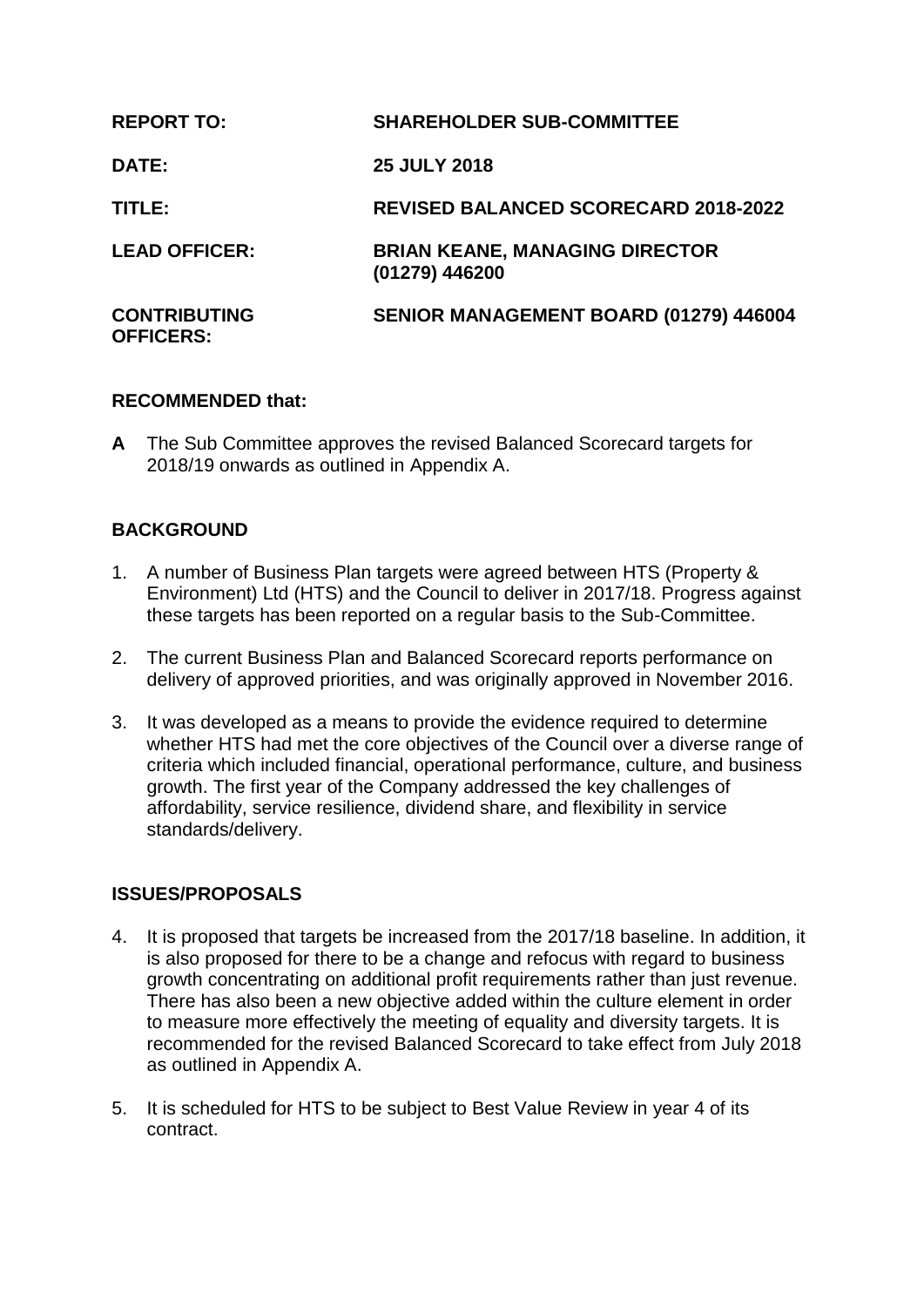| <b>REPORT TO:</b>                       | <b>SHAREHOLDER SUB-COMMITTEE</b>                        |
|-----------------------------------------|---------------------------------------------------------|
| DATE:                                   | <b>25 JULY 2018</b>                                     |
| TITLE:                                  | <b>REVISED BALANCED SCORECARD 2018-2022</b>             |
| <b>LEAD OFFICER:</b>                    | <b>BRIAN KEANE, MANAGING DIRECTOR</b><br>(01279) 446200 |
| <b>CONTRIBUTING</b><br><b>OFFICERS:</b> | <b>SENIOR MANAGEMENT BOARD (01279) 446004</b>           |

# **RECOMMENDED that:**

**A** The Sub Committee approves the revised Balanced Scorecard targets for 2018/19 onwards as outlined in Appendix A.

# **BACKGROUND**

- 1. A number of Business Plan targets were agreed between HTS (Property & Environment) Ltd (HTS) and the Council to deliver in 2017/18. Progress against these targets has been reported on a regular basis to the Sub-Committee.
- 2. The current Business Plan and Balanced Scorecard reports performance on delivery of approved priorities, and was originally approved in November 2016.
- 3. It was developed as a means to provide the evidence required to determine whether HTS had met the core objectives of the Council over a diverse range of criteria which included financial, operational performance, culture, and business growth. The first year of the Company addressed the key challenges of affordability, service resilience, dividend share, and flexibility in service standards/delivery.

# **ISSUES/PROPOSALS**

- 4. It is proposed that targets be increased from the 2017/18 baseline. In addition, it is also proposed for there to be a change and refocus with regard to business growth concentrating on additional profit requirements rather than just revenue. There has also been a new objective added within the culture element in order to measure more effectively the meeting of equality and diversity targets. It is recommended for the revised Balanced Scorecard to take effect from July 2018 as outlined in Appendix A.
- 5. It is scheduled for HTS to be subject to Best Value Review in year 4 of its contract.